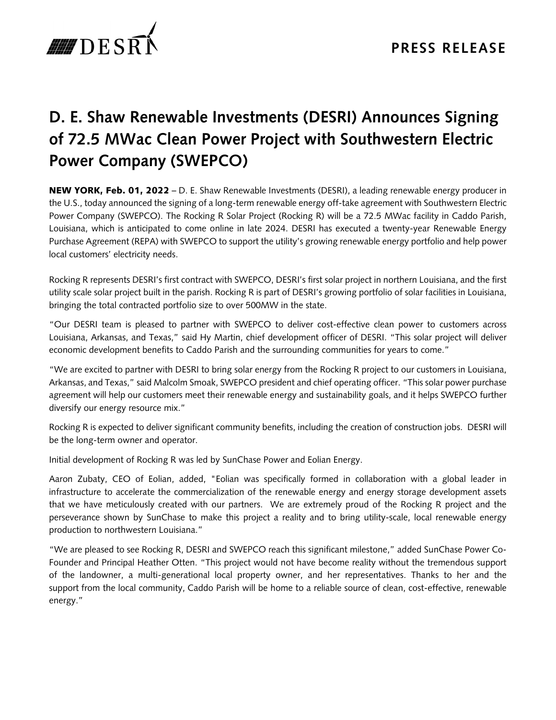

## **D. E. Shaw Renewable Investments (DESRI) Announces Signing of 72.5 MWac Clean Power Project with Southwestern Electric Power Company (SWEPCO)**

NEW YORK, Feb. 01, 2022 – D. E. Shaw Renewable Investments (DESRI), a leading renewable energy producer in the U.S., today announced the signing of a long-term renewable energy off-take agreement with Southwestern Electric Power Company (SWEPCO). The Rocking R Solar Project (Rocking R) will be a 72.5 MWac facility in Caddo Parish, Louisiana, which is anticipated to come online in late 2024. DESRI has executed a twenty-year Renewable Energy Purchase Agreement (REPA) with SWEPCO to support the utility's growing renewable energy portfolio and help power local customers' electricity needs.

Rocking R represents DESRI's first contract with SWEPCO, DESRI's first solar project in northern Louisiana, and the first utility scale solar project built in the parish. Rocking R is part of DESRI's growing portfolio of solar facilities in Louisiana, bringing the total contracted portfolio size to over 500MW in the state.

"Our DESRI team is pleased to partner with SWEPCO to deliver cost-effective clean power to customers across Louisiana, Arkansas, and Texas," said Hy Martin, chief development officer of DESRI. "This solar project will deliver economic development benefits to Caddo Parish and the surrounding communities for years to come."

"We are excited to partner with DESRI to bring solar energy from the Rocking R project to our customers in Louisiana, Arkansas, and Texas," said Malcolm Smoak, SWEPCO president and chief operating officer. "This solar power purchase agreement will help our customers meet their renewable energy and sustainability goals, and it helps SWEPCO further diversify our energy resource mix."

Rocking R is expected to deliver significant community benefits, including the creation of construction jobs. DESRI will be the long-term owner and operator.

Initial development of Rocking R was led by SunChase Power and Eolian Energy.

Aaron Zubaty, CEO of Eolian, added, "Eolian was specifically formed in collaboration with a global leader in infrastructure to accelerate the commercialization of the renewable energy and energy storage development assets that we have meticulously created with our partners. We are extremely proud of the Rocking R project and the perseverance shown by SunChase to make this project a reality and to bring utility-scale, local renewable energy production to northwestern Louisiana."

"We are pleased to see Rocking R, DESRI and SWEPCO reach this significant milestone," added SunChase Power Co-Founder and Principal Heather Otten. "This project would not have become reality without the tremendous support of the landowner, a multi-generational local property owner, and her representatives. Thanks to her and the support from the local community, Caddo Parish will be home to a reliable source of clean, cost-effective, renewable energy."